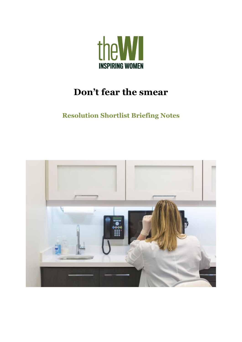

# **Don't fear the smear**

## **Resolution Shortlist Briefing Notes**

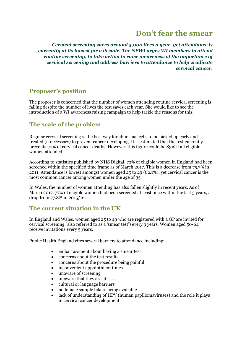## **Don't fear the smear**

*Cervical screening saves around 5,000 lives a year, yet attendance is currently at its lowest for a decade. The NFWI urges WI members to attend routine screening, to take action to raise awareness of the importance of cervical screening and address barriers to attendance to help eradicate cervical cancer***.** 

## **Proposer's position**

The proposer is concerned that the number of women attending routine cervical screening is falling despite the number of lives the test saves each year. She would like to see the introduction of a WI awareness raising campaign to help tackle the reasons for this.

## **The scale of the problem**

Regular cervical screening is the best way for abnormal cells to be picked up early and treated (if necessary) to prevent cancer developing. It is estimated that the test currently prevents 70% of cervical cancer deaths. However, this figure could be 83% if all eligible women attended.

According to statistics published by NHS Digital, 72% of eligible women in England had been screened within the specified time frame as of March 2017. This is a decrease from 75.7% in 2011. Attendance is lowest amongst women aged 25 to 29 (62.1%), yet cervical cancer is the most common cancer among women under the age of 35.

In Wales, the number of women attending has also fallen slightly in recent years. As of March 2017, 77% of eligible women had been screened at least once within the last 5 years, a drop from 77.8% in 2015/16.

### **The current situation in the UK**

In England and Wales, women aged 25 to 49 who are registered with a GP are invited for cervical screening (also referred to as a 'smear test') every 3 years. Women aged 50-64 receive invitations every 5 years.

Public Health England cites several barriers to attendance including:

- embarrassment about having a smear test
- concerns about the test results
- concerns about the procedure being painful
- inconvenient appointment times
- unaware of screening
- unaware that they are at risk
- cultural or language barriers
- no female sample takers being available
- lack of understanding of HPV (human papillomaviruses) and the role it plays in cervical cancer development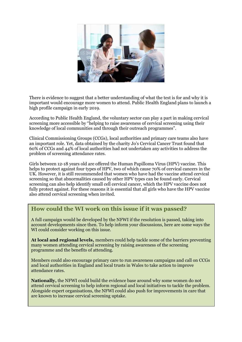

There is evidence to suggest that a better understanding of what the test is for and why it is important would encourage more women to attend. Public Health England plans to launch a high profile campaign in early 2019.

According to Public Health England, the voluntary sector can play a part in making cervical screening more accessible by "helping to raise awareness of cervical screening using their knowledge of local communities and through their outreach programmes".

Clinical Commissioning Groups (CCGs), local authorities and primary care teams also have an important role. Yet, data obtained by the charity Jo's Cervical Cancer Trust found that 60% of CCGs and 44% of local authorities had not undertaken any activities to address the problem of screening attendance rates.

Girls between 12-18 years old are offered the Human Papilloma Virus (HPV) vaccine. This helps to protect against four types of HPV, two of which cause 70% of cervical cancers in the UK. However, it is still recommended that women who have had the vaccine attend cervical screening so that abnormalities caused by other HPV types can be found early. Cervical screening can also help identify small cell cervical cancer, which the HPV vaccine does not fully protect against. For these reasons it is essential that all girls who have the HPV vaccine also attend cervical screening when invited.

#### **How could the WI work on this issue if it was passed?**

A full campaign would be developed by the NFWI if the resolution is passed, taking into account developments since then. To help inform your discussions, here are some ways the WI could consider working on this issue.

**At local and regional levels,** members could help tackle some of the barriers preventing many women attending cervical screening by raising awareness of the screening programme and the benefits of attending.

Members could also encourage primary care to run awareness campaigns and call on CCGs and local authorities in England and local trusts in Wales to take action to improve attendance rates.

**Nationally,** the NFWI could build the evidence base around why some women do not attend cervical screening to help inform regional and local initiatives to tackle the problem. Alongside expert organisations, the NFWI could also push for improvements in care that are known to increase cervical screening uptake.